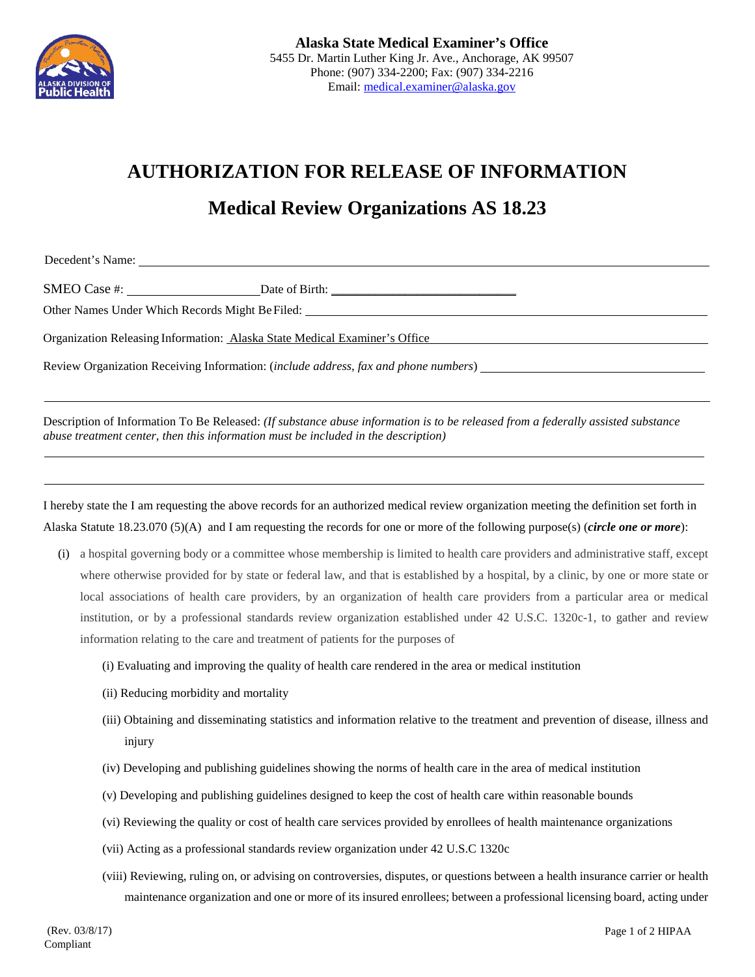

## **AUTHORIZATION FOR RELEASE OF INFORMATION**

## **Medical Review Organizations AS 18.23**

Decedent's Name:

SMEO Case #:  $\qquad \qquad$  Date of Birth:

Other Names Under Which Records Might Be Filed:

Organization Releasing Information: Alaska State Medical Examiner's Office

Review Organization Receiving Information: (*include address, fax and phone numbers*)

Description of Information To Be Released: *(If substance abuse information is to be released from a federally assisted substance abuse treatment center, then this information must be included in the description)*

I hereby state the I am requesting the above records for an authorized medical review organization meeting the definition set forth in Alaska Statute 18.23.070 (5)(A) and I am requesting the records for one or more of the following purpose(s) (*circle one or more*):

- (i) a hospital governing body or a committee whose membership is limited to health care providers and administrative staff, except where otherwise provided for by state or federal law, and that is established by a hospital, by a clinic, by one or more state or local associations of health care providers, by an organization of health care providers from a particular area or medical institution, or by a professional standards review organization established under 42 U.S.C. 1320c-1, to gather and review information relating to the care and treatment of patients for the purposes of
	- (i) Evaluating and improving the quality of health care rendered in the area or medical institution
	- (ii) Reducing morbidity and mortality
	- (iii) Obtaining and disseminating statistics and information relative to the treatment and prevention of disease, illness and injury
	- (iv) Developing and publishing guidelines showing the norms of health care in the area of medical institution
	- (v) Developing and publishing guidelines designed to keep the cost of health care within reasonable bounds
	- (vi) Reviewing the quality or cost of health care services provided by enrollees of health maintenance organizations
	- (vii) Acting as a professional standards review organization under 42 U.S.C 1320c
	- (viii) Reviewing, ruling on, or advising on controversies, disputes, or questions between a health insurance carrier or health maintenance organization and one or more of its insured enrollees; between a professional licensing board, acting under